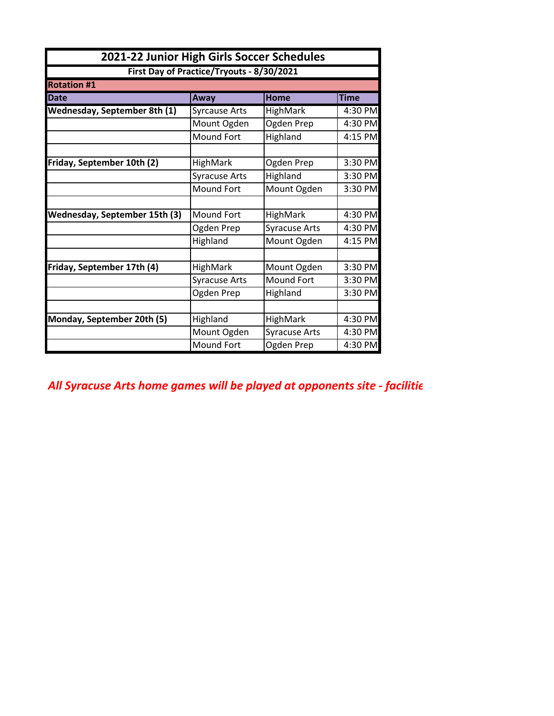| 2021-22 Junior High Girls Soccer Schedules<br>First Day of Practice/Tryouts - 8/30/2021 |                      |                      |             |
|-----------------------------------------------------------------------------------------|----------------------|----------------------|-------------|
|                                                                                         |                      |                      |             |
| <b>Date</b>                                                                             | Away                 | <b>Home</b>          | <b>Time</b> |
| <b>Wednesday, September 8th (1)</b>                                                     | <b>Syrcause Arts</b> | HighMark             | 4:30 PM     |
|                                                                                         | Mount Ogden          | Ogden Prep           | 4:30 PM     |
|                                                                                         | Mound Fort           | Highland             | 4:15 PM     |
|                                                                                         |                      |                      |             |
| Friday, September 10th (2)                                                              | HighMark             | Ogden Prep           | 3:30 PM     |
|                                                                                         | <b>Syracuse Arts</b> | Highland             | 3:30 PM     |
|                                                                                         | Mound Fort           | Mount Ogden          | 3:30 PM     |
|                                                                                         |                      |                      |             |
| Wednesday, September 15th (3)                                                           | Mound Fort           | HighMark             | 4:30 PM     |
|                                                                                         | Ogden Prep           | <b>Syracuse Arts</b> | 4:30 PM     |
|                                                                                         | Highland             | Mount Ogden          | 4:15 PM     |
|                                                                                         |                      |                      |             |
| Friday, September 17th (4)                                                              | HighMark             | Mount Ogden          | 3:30 PM     |
|                                                                                         | <b>Syracuse Arts</b> | <b>Mound Fort</b>    | 3:30 PM     |
|                                                                                         | Ogden Prep           | Highland             | 3:30 PM     |
|                                                                                         |                      |                      |             |
| Monday, September 20th (5)                                                              | Highland             | HighMark             | 4:30 PM     |
|                                                                                         | Mount Ogden          | <b>Syracuse Arts</b> | 4:30 PM     |
|                                                                                         | Mound Fort           | Ogden Prep           | 4:30 PM     |

All Syracuse Arts home games will be played at opponents site - facilitie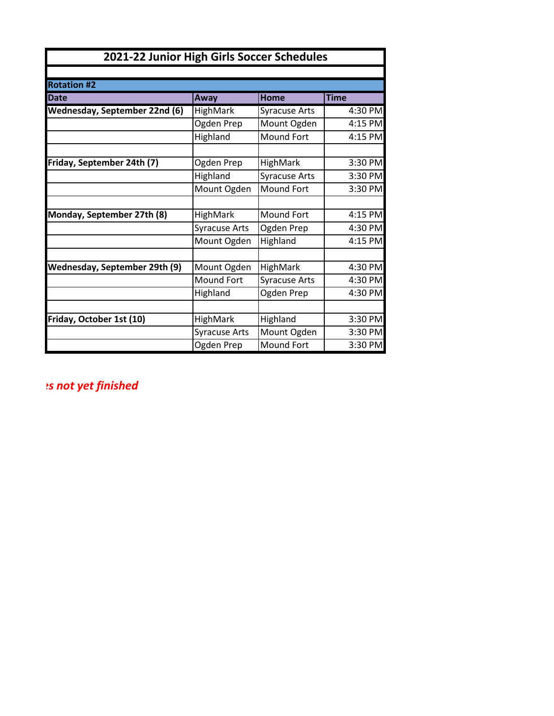| 2021-22 Junior High Girls Soccer Schedules |                      |                      |             |
|--------------------------------------------|----------------------|----------------------|-------------|
|                                            |                      |                      |             |
| <b>Rotation #2</b>                         |                      |                      |             |
| <b>Date</b>                                | Away                 | Home                 | <b>Time</b> |
| <b>Wednesday, September 22nd (6)</b>       | HighMark             | <b>Syracuse Arts</b> | 4:30 PM     |
|                                            | Ogden Prep           | Mount Ogden          | 4:15 PM     |
|                                            | Highland             | Mound Fort           | 4:15 PM     |
|                                            |                      |                      |             |
| Friday, September 24th (7)                 | Ogden Prep           | HighMark             | 3:30 PM     |
|                                            | Highland             | <b>Syracuse Arts</b> | 3:30 PM     |
|                                            | Mount Ogden          | Mound Fort           | 3:30 PM     |
|                                            |                      |                      |             |
| Monday, September 27th (8)                 | <b>HighMark</b>      | Mound Fort           | 4:15 PM     |
|                                            | <b>Syracuse Arts</b> | Ogden Prep           | 4:30 PM     |
|                                            | Mount Ogden          | Highland             | 4:15 PM     |
|                                            |                      |                      |             |
| Wednesday, September 29th (9)              | Mount Ogden          | HighMark             | 4:30 PM     |
|                                            | Mound Fort           | <b>Syracuse Arts</b> | 4:30 PM     |
|                                            | Highland             | Ogden Prep           | 4:30 PM     |
|                                            |                      |                      |             |
| Friday, October 1st (10)                   | <b>HighMark</b>      | Highland             | 3:30 PM     |
|                                            | <b>Syracuse Arts</b> | Mount Ogden          | 3:30 PM     |
|                                            | Ogden Prep           | Mound Fort           | 3:30 PM     |

*All Syracuse Arts home games will be played at opponents site - facilities not yet finished*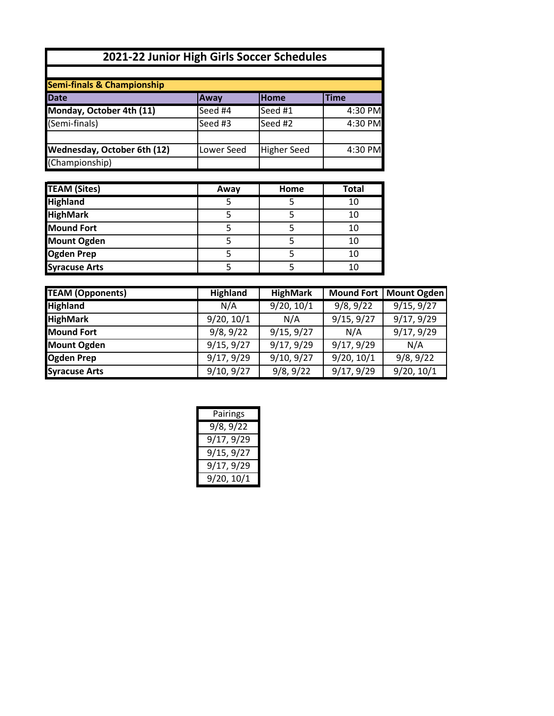| 2021-22 Junior High Girls Soccer Schedules |            |                    |             |
|--------------------------------------------|------------|--------------------|-------------|
|                                            |            |                    |             |
| <b>Semi-finals &amp; Championship</b>      |            |                    |             |
| <b>Date</b>                                | Away       | Home               | <b>Time</b> |
| Monday, October 4th (11)                   | Seed #4    | Seed #1            | 4:30 PM     |
| (Semi-finals)                              | Seed #3    | Seed #2            | 4:30 PM     |
|                                            |            |                    |             |
| Wednesday, October 6th (12)                | Lower Seed | <b>Higher Seed</b> | 4:30 PM     |
| (Championship)                             |            |                    |             |

| <b>TEAM (Sites)</b>  | Away | Home | <b>Total</b> |
|----------------------|------|------|--------------|
| <b>Highland</b>      |      |      | 10           |
| <b>HighMark</b>      |      |      | 10           |
| <b>Mound Fort</b>    |      |      | 10           |
| <b>Mount Ogden</b>   |      |      | 10           |
| <b>Ogden Prep</b>    |      |      | 10           |
| <b>Syracuse Arts</b> |      |      | 10           |

| <b>TEAM (Opponents)</b> | <b>Highland</b> | <b>HighMark</b> |            | Mound Fort   Mount Ogden |
|-------------------------|-----------------|-----------------|------------|--------------------------|
| <b>Highland</b>         | N/A             | 9/20, 10/1      | 9/8, 9/22  | 9/15, 9/27               |
| <b>HighMark</b>         | 9/20, 10/1      | N/A             | 9/15, 9/27 | 9/17, 9/29               |
| <b>Mound Fort</b>       | 9/8, 9/22       | 9/15, 9/27      | N/A        | 9/17, 9/29               |
| <b>Mount Ogden</b>      | 9/15, 9/27      | 9/17, 9/29      | 9/17, 9/29 | N/A                      |
| <b>Ogden Prep</b>       | 9/17, 9/29      | 9/10, 9/27      | 9/20, 10/1 | 9/8, 9/22                |
| <b>Syracuse Arts</b>    | 9/10, 9/27      | 9/8, 9/22       | 9/17, 9/29 | 9/20, 10/1               |

| <b>Pairings</b> |  |
|-----------------|--|
| 9/8, 9/22       |  |
| 9/17, 9/29      |  |
| 9/15, 9/27      |  |
| 9/17, 9/29      |  |
| 9/20, 10/1      |  |